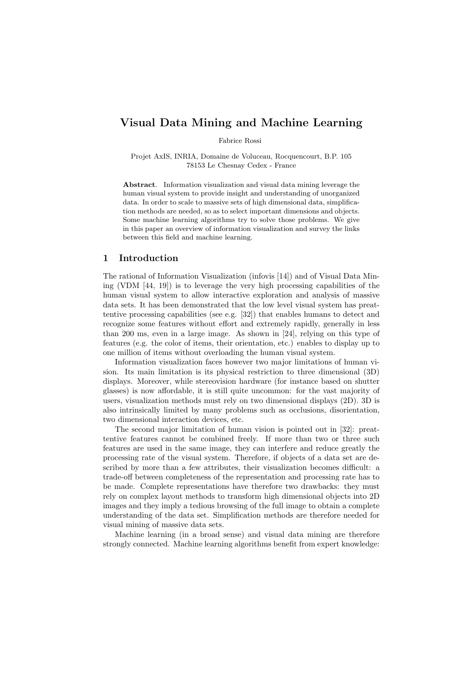# Visual Data Mining and Machine Learning

Fabrice Rossi

Projet AxIS, INRIA, Domaine de Voluceau, Rocquencourt, B.P. 105 78153 Le Chesnay Cedex - France

Abstract. Information visualization and visual data mining leverage the human visual system to provide insight and understanding of unorganized data. In order to scale to massive sets of high dimensional data, simplification methods are needed, so as to select important dimensions and objects. Some machine learning algorithms try to solve those problems. We give in this paper an overview of information visualization and survey the links between this field and machine learning.

# 1 Introduction

The rational of Information Visualization (infovis [14]) and of Visual Data Mining (VDM [44, 19]) is to leverage the very high processing capabilities of the human visual system to allow interactive exploration and analysis of massive data sets. It has been demonstrated that the low level visual system has preattentive processing capabilities (see e.g. [32]) that enables humans to detect and recognize some features without effort and extremely rapidly, generally in less than 200 ms, even in a large image. As shown in [24], relying on this type of features (e.g. the color of items, their orientation, etc.) enables to display up to one million of items without overloading the human visual system.

Information visualization faces however two major limitations of human vision. Its main limitation is its physical restriction to three dimensional (3D) displays. Moreover, while stereovision hardware (for instance based on shutter glasses) is now affordable, it is still quite uncommon: for the vast majority of users, visualization methods must rely on two dimensional displays (2D). 3D is also intrinsically limited by many problems such as occlusions, disorientation, two dimensional interaction devices, etc.

The second major limitation of human vision is pointed out in [32]: preattentive features cannot be combined freely. If more than two or three such features are used in the same image, they can interfere and reduce greatly the processing rate of the visual system. Therefore, if objects of a data set are described by more than a few attributes, their visualization becomes difficult: a trade-off between completeness of the representation and processing rate has to be made. Complete representations have therefore two drawbacks: they must rely on complex layout methods to transform high dimensional objects into 2D images and they imply a tedious browsing of the full image to obtain a complete understanding of the data set. Simplification methods are therefore needed for visual mining of massive data sets.

Machine learning (in a broad sense) and visual data mining are therefore strongly connected. Machine learning algorithms benefit from expert knowledge: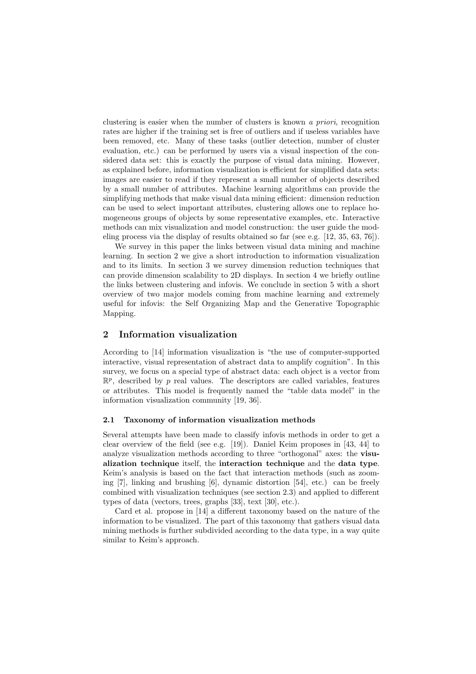clustering is easier when the number of clusters is known a priori, recognition rates are higher if the training set is free of outliers and if useless variables have been removed, etc. Many of these tasks (outlier detection, number of cluster evaluation, etc.) can be performed by users via a visual inspection of the considered data set: this is exactly the purpose of visual data mining. However, as explained before, information visualization is efficient for simplified data sets: images are easier to read if they represent a small number of objects described by a small number of attributes. Machine learning algorithms can provide the simplifying methods that make visual data mining efficient: dimension reduction can be used to select important attributes, clustering allows one to replace homogeneous groups of objects by some representative examples, etc. Interactive methods can mix visualization and model construction: the user guide the modeling process via the display of results obtained so far (see e.g. [12, 35, 63, 76]).

We survey in this paper the links between visual data mining and machine learning. In section 2 we give a short introduction to information visualization and to its limits. In section 3 we survey dimension reduction techniques that can provide dimension scalability to 2D displays. In section 4 we briefly outline the links between clustering and infovis. We conclude in section 5 with a short overview of two major models coming from machine learning and extremely useful for infovis: the Self Organizing Map and the Generative Topographic Mapping.

### 2 Information visualization

According to [14] information visualization is "the use of computer-supported interactive, visual representation of abstract data to amplify cognition". In this survey, we focus on a special type of abstract data: each object is a vector from  $\mathbb{R}^p$ , described by p real values. The descriptors are called variables, features or attributes. This model is frequently named the "table data model" in the information visualization community [19, 36].

### 2.1 Taxonomy of information visualization methods

Several attempts have been made to classify infovis methods in order to get a clear overview of the field (see e.g. [19]). Daniel Keim proposes in [43, 44] to analyze visualization methods according to three "orthogonal" axes: the visualization technique itself, the interaction technique and the data type. Keim's analysis is based on the fact that interaction methods (such as zooming [7], linking and brushing [6], dynamic distortion [54], etc.) can be freely combined with visualization techniques (see section 2.3) and applied to different types of data (vectors, trees, graphs [33], text [30], etc.).

Card et al. propose in [14] a different taxonomy based on the nature of the information to be visualized. The part of this taxonomy that gathers visual data mining methods is further subdivided according to the data type, in a way quite similar to Keim's approach.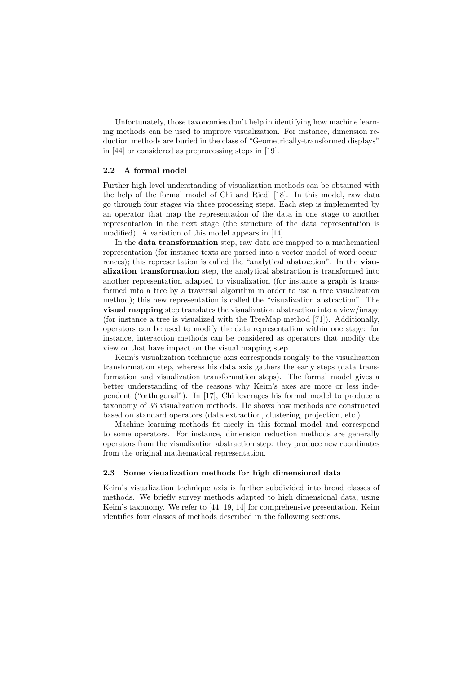Unfortunately, those taxonomies don't help in identifying how machine learning methods can be used to improve visualization. For instance, dimension reduction methods are buried in the class of "Geometrically-transformed displays" in [44] or considered as preprocessing steps in [19].

# 2.2 A formal model

Further high level understanding of visualization methods can be obtained with the help of the formal model of Chi and Riedl [18]. In this model, raw data go through four stages via three processing steps. Each step is implemented by an operator that map the representation of the data in one stage to another representation in the next stage (the structure of the data representation is modified). A variation of this model appears in [14].

In the data transformation step, raw data are mapped to a mathematical representation (for instance texts are parsed into a vector model of word occurrences); this representation is called the "analytical abstraction". In the visualization transformation step, the analytical abstraction is transformed into another representation adapted to visualization (for instance a graph is transformed into a tree by a traversal algorithm in order to use a tree visualization method); this new representation is called the "visualization abstraction". The visual mapping step translates the visualization abstraction into a view/image (for instance a tree is visualized with the TreeMap method [71]). Additionally, operators can be used to modify the data representation within one stage: for instance, interaction methods can be considered as operators that modify the view or that have impact on the visual mapping step.

Keim's visualization technique axis corresponds roughly to the visualization transformation step, whereas his data axis gathers the early steps (data transformation and visualization transformation steps). The formal model gives a better understanding of the reasons why Keim's axes are more or less independent ("orthogonal"). In [17], Chi leverages his formal model to produce a taxonomy of 36 visualization methods. He shows how methods are constructed based on standard operators (data extraction, clustering, projection, etc.).

Machine learning methods fit nicely in this formal model and correspond to some operators. For instance, dimension reduction methods are generally operators from the visualization abstraction step: they produce new coordinates from the original mathematical representation.

### 2.3 Some visualization methods for high dimensional data

Keim's visualization technique axis is further subdivided into broad classes of methods. We briefly survey methods adapted to high dimensional data, using Keim's taxonomy. We refer to [44, 19, 14] for comprehensive presentation. Keim identifies four classes of methods described in the following sections.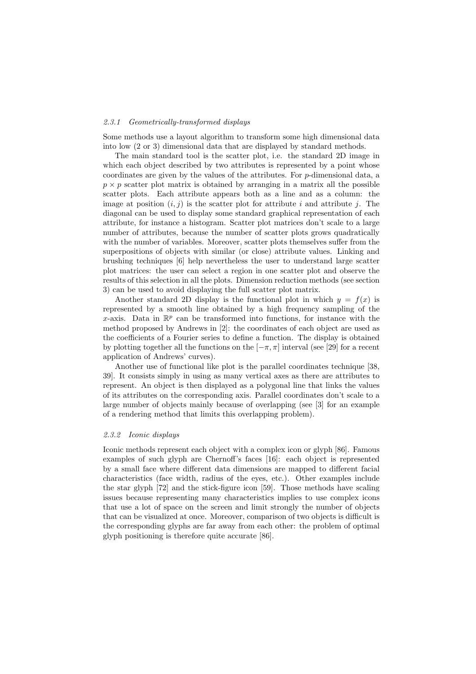#### 2.3.1 Geometrically-transformed displays

Some methods use a layout algorithm to transform some high dimensional data into low (2 or 3) dimensional data that are displayed by standard methods.

The main standard tool is the scatter plot, i.e. the standard 2D image in which each object described by two attributes is represented by a point whose coordinates are given by the values of the attributes. For p-dimensional data, a  $p \times p$  scatter plot matrix is obtained by arranging in a matrix all the possible scatter plots. Each attribute appears both as a line and as a column: the image at position  $(i, j)$  is the scatter plot for attribute i and attribute j. The diagonal can be used to display some standard graphical representation of each attribute, for instance a histogram. Scatter plot matrices don't scale to a large number of attributes, because the number of scatter plots grows quadratically with the number of variables. Moreover, scatter plots themselves suffer from the superpositions of objects with similar (or close) attribute values. Linking and brushing techniques [6] help nevertheless the user to understand large scatter plot matrices: the user can select a region in one scatter plot and observe the results of this selection in all the plots. Dimension reduction methods (see section 3) can be used to avoid displaying the full scatter plot matrix.

Another standard 2D display is the functional plot in which  $y = f(x)$  is represented by a smooth line obtained by a high frequency sampling of the x-axis. Data in  $\mathbb{R}^p$  can be transformed into functions, for instance with the method proposed by Andrews in [2]: the coordinates of each object are used as the coefficients of a Fourier series to define a function. The display is obtained by plotting together all the functions on the  $[-\pi, \pi]$  interval (see [29] for a recent application of Andrews' curves).

Another use of functional like plot is the parallel coordinates technique [38, 39]. It consists simply in using as many vertical axes as there are attributes to represent. An object is then displayed as a polygonal line that links the values of its attributes on the corresponding axis. Parallel coordinates don't scale to a large number of objects mainly because of overlapping (see [3] for an example of a rendering method that limits this overlapping problem).

### 2.3.2 Iconic displays

Iconic methods represent each object with a complex icon or glyph [86]. Famous examples of such glyph are Chernoff's faces [16]: each object is represented by a small face where different data dimensions are mapped to different facial characteristics (face width, radius of the eyes, etc.). Other examples include the star glyph [72] and the stick-figure icon [59]. Those methods have scaling issues because representing many characteristics implies to use complex icons that use a lot of space on the screen and limit strongly the number of objects that can be visualized at once. Moreover, comparison of two objects is difficult is the corresponding glyphs are far away from each other: the problem of optimal glyph positioning is therefore quite accurate [86].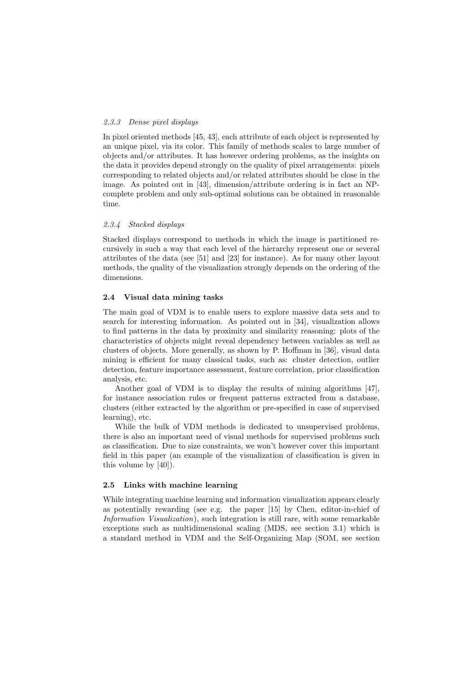### 2.3.3 Dense pixel displays

In pixel oriented methods [45, 43], each attribute of each object is represented by an unique pixel, via its color. This family of methods scales to large number of objects and/or attributes. It has however ordering problems, as the insights on the data it provides depend strongly on the quality of pixel arrangements: pixels corresponding to related objects and/or related attributes should be close in the image. As pointed out in [43], dimension/attribute ordering is in fact an NPcomplete problem and only sub-optimal solutions can be obtained in reasonable time.

### 2.3.4 Stacked displays

Stacked displays correspond to methods in which the image is partitioned recursively in such a way that each level of the hierarchy represent one or several attributes of the data (see [51] and [23] for instance). As for many other layout methods, the quality of the visualization strongly depends on the ordering of the dimensions.

### 2.4 Visual data mining tasks

The main goal of VDM is to enable users to explore massive data sets and to search for interesting information. As pointed out in [34], visualization allows to find patterns in the data by proximity and similarity reasoning: plots of the characteristics of objects might reveal dependency between variables as well as clusters of objects. More generally, as shown by P. Hoffman in [36], visual data mining is efficient for many classical tasks, such as: cluster detection, outlier detection, feature importance assessment, feature correlation, prior classification analysis, etc.

Another goal of VDM is to display the results of mining algorithms [47], for instance association rules or frequent patterns extracted from a database, clusters (either extracted by the algorithm or pre-specified in case of supervised learning), etc.

While the bulk of VDM methods is dedicated to unsupervised problems, there is also an important need of visual methods for supervised problems such as classification. Due to size constraints, we won't however cover this important field in this paper (an example of the visualization of classification is given in this volume by [40]).

### 2.5 Links with machine learning

While integrating machine learning and information visualization appears clearly as potentially rewarding (see e.g. the paper [15] by Chen, editor-in-chief of Information Visualization), such integration is still rare, with some remarkable exceptions such as multidimensional scaling (MDS, see section 3.1) which is a standard method in VDM and the Self-Organizing Map (SOM, see section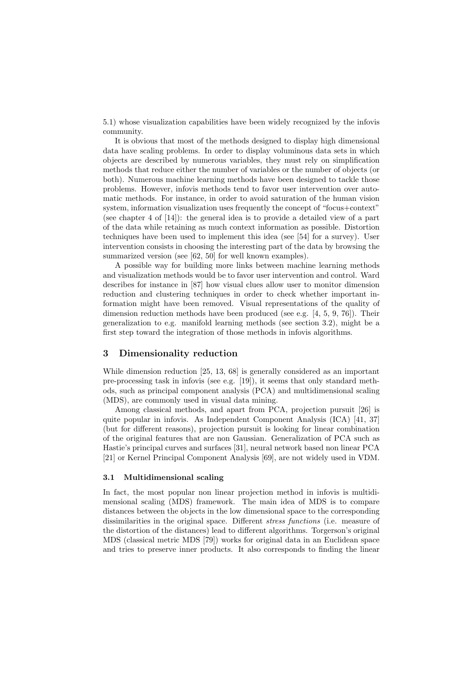5.1) whose visualization capabilities have been widely recognized by the infovis community.

It is obvious that most of the methods designed to display high dimensional data have scaling problems. In order to display voluminous data sets in which objects are described by numerous variables, they must rely on simplification methods that reduce either the number of variables or the number of objects (or both). Numerous machine learning methods have been designed to tackle those problems. However, infovis methods tend to favor user intervention over automatic methods. For instance, in order to avoid saturation of the human vision system, information visualization uses frequently the concept of "focus+context" (see chapter 4 of [14]): the general idea is to provide a detailed view of a part of the data while retaining as much context information as possible. Distortion techniques have been used to implement this idea (see [54] for a survey). User intervention consists in choosing the interesting part of the data by browsing the summarized version (see [62, 50] for well known examples).

A possible way for building more links between machine learning methods and visualization methods would be to favor user intervention and control. Ward describes for instance in [87] how visual clues allow user to monitor dimension reduction and clustering techniques in order to check whether important information might have been removed. Visual representations of the quality of dimension reduction methods have been produced (see e.g. [4, 5, 9, 76]). Their generalization to e.g. manifold learning methods (see section 3.2), might be a first step toward the integration of those methods in infovis algorithms.

### 3 Dimensionality reduction

While dimension reduction [25, 13, 68] is generally considered as an important pre-processing task in infovis (see e.g. [19]), it seems that only standard methods, such as principal component analysis (PCA) and multidimensional scaling (MDS), are commonly used in visual data mining.

Among classical methods, and apart from PCA, projection pursuit [26] is quite popular in infovis. As Independent Component Analysis (ICA) [41, 37] (but for different reasons), projection pursuit is looking for linear combination of the original features that are non Gaussian. Generalization of PCA such as Hastie's principal curves and surfaces [31], neural network based non linear PCA [21] or Kernel Principal Component Analysis [69], are not widely used in VDM.

### 3.1 Multidimensional scaling

In fact, the most popular non linear projection method in infovis is multidimensional scaling (MDS) framework. The main idea of MDS is to compare distances between the objects in the low dimensional space to the corresponding dissimilarities in the original space. Different *stress functions* (i.e. measure of the distortion of the distances) lead to different algorithms. Torgerson's original MDS (classical metric MDS [79]) works for original data in an Euclidean space and tries to preserve inner products. It also corresponds to finding the linear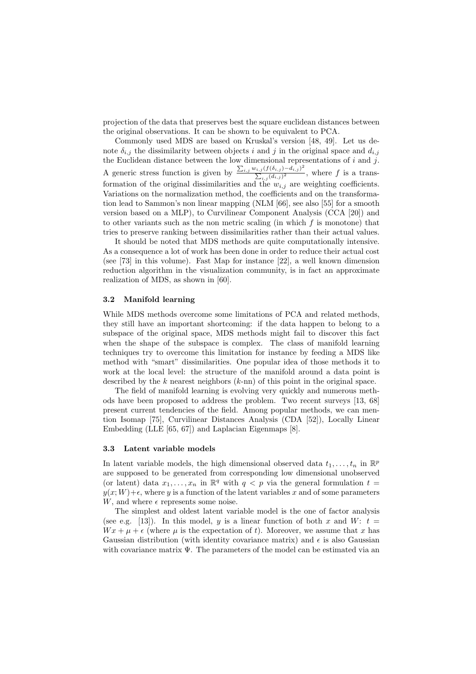projection of the data that preserves best the square euclidean distances between the original observations. It can be shown to be equivalent to PCA.

Commonly used MDS are based on Kruskal's version [48, 49]. Let us denote  $\delta_{i,j}$  the dissimilarity between objects i and j in the original space and  $d_{i,j}$ the Euclidean distance between the low dimensional representations of  $i$  and  $j$ . A generic stress function is given by  $\frac{\sum_{i,j} w_{i,j} (f(\delta_{i,j}) - d_{i,j})^2}{\sum_{i,j} (d_{i,j})^2}$  $\frac{\sum_{i,j} (j(\mathbf{0}_{i,j}) - a_{i,j})}{\sum_{i,j} (d_{i,j})^2}$ , where f is a transformation of the original dissimilarities and the  $w_{i,j}$  are weighting coefficients. Variations on the normalization method, the coefficients and on the transformation lead to Sammon's non linear mapping (NLM [66], see also [55] for a smooth version based on a MLP), to Curvilinear Component Analysis (CCA [20]) and to other variants such as the non metric scaling (in which  $f$  is monotone) that tries to preserve ranking between dissimilarities rather than their actual values.

It should be noted that MDS methods are quite computationally intensive. As a consequence a lot of work has been done in order to reduce their actual cost (see [73] in this volume). Fast Map for instance [22], a well known dimension reduction algorithm in the visualization community, is in fact an approximate realization of MDS, as shown in [60].

### 3.2 Manifold learning

While MDS methods overcome some limitations of PCA and related methods, they still have an important shortcoming: if the data happen to belong to a subspace of the original space, MDS methods might fail to discover this fact when the shape of the subspace is complex. The class of manifold learning techniques try to overcome this limitation for instance by feeding a MDS like method with "smart" dissimilarities. One popular idea of those methods it to work at the local level: the structure of the manifold around a data point is described by the  $k$  nearest neighbors  $(k-m)$  of this point in the original space.

The field of manifold learning is evolving very quickly and numerous methods have been proposed to address the problem. Two recent surveys [13, 68] present current tendencies of the field. Among popular methods, we can mention Isomap [75], Curvilinear Distances Analysis (CDA [52]), Locally Linear Embedding (LLE [65, 67]) and Laplacian Eigenmaps [8].

#### 3.3 Latent variable models

In latent variable models, the high dimensional observed data  $t_1, \ldots, t_n$  in  $\mathbb{R}^p$ are supposed to be generated from corresponding low dimensional unobserved (or latent) data  $x_1, \ldots, x_n$  in  $\mathbb{R}^q$  with  $q < p$  via the general formulation  $t =$  $y(x;W)+\epsilon$ , where y is a function of the latent variables x and of some parameters W, and where  $\epsilon$  represents some noise.

The simplest and oldest latent variable model is the one of factor analysis (see e.g. [13]). In this model, y is a linear function of both x and W:  $t =$  $Wx + \mu + \epsilon$  (where  $\mu$  is the expectation of t). Moreover, we assume that x has Gaussian distribution (with identity covariance matrix) and  $\epsilon$  is also Gaussian with covariance matrix  $\Psi$ . The parameters of the model can be estimated via an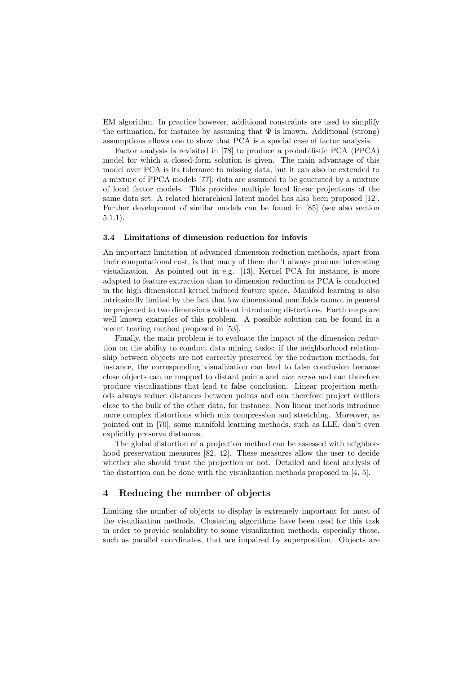EM algorithm. In practice however, additional constraints are used to simplify the estimation, for instance by assuming that  $\Psi$  is known. Additional (strong) assumptions allows one to show that PCA is a special case of factor analysis.

Factor analysis is revisited in [78] to produce a probabilistic PCA (PPCA) model for which a closed-form solution is given. The main advantage of this model over PCA is its tolerance to missing data, but it can also be extended to a mixture of PPCA models [77]: data are assumed to be generated by a mixture of local factor models. This provides multiple local linear projections of the same data set. A related hierarchical latent model has also been proposed [12]. Further development of similar models can be found in [85] (see also section 5.1.1).

#### 3.4 Limitations of dimension reduction for infovis

An important limitation of advanced dimension reduction methods, apart from their computational cost, is that many of them don't always produce interesting visualization. As pointed out in e.g. [13], Kernel PCA for instance, is more adapted to feature extraction than to dimension reduction as PCA is conducted in the high dimensional kernel induced feature space. Manifold learning is also intrinsically limited by the fact that low dimensional manifolds cannot in general be projected to two dimensions without introducing distortions. Earth maps are well known examples of this problem. A possible solution can be found in a recent tearing method proposed in [53].

Finally, the main problem is to evaluate the impact of the dimension reduction on the ability to conduct data mining tasks: if the neighborhood relationship between objects are not correctly preserved by the reduction methods, for instance, the corresponding visualization can lead to false conclusion because close objects can be mapped to distant points and vice versa and can therefore produce visualizations that lead to false conclusion. Linear projection methods always reduce distances between points and can therefore project outliers close to the bulk of the other data, for instance. Non linear methods introduce more complex distortions which mix compression and stretching. Moreover, as pointed out in [70], some manifold learning methods, such as LLE, don't even explicitly preserve distances.

The global distortion of a projection method can be assessed with neighborhood preservation measures [82, 42]. These measures allow the user to decide whether she should trust the projection or not. Detailed and local analysis of the distortion can be done with the visualization methods proposed in [4, 5].

# 4 Reducing the number of objects

Limiting the number of objects to display is extremely important for most of the visualization methods. Clustering algorithms have been used for this task in order to provide scalability to some visualization methods, especially those, such as parallel coordinates, that are impaired by superposition. Objects are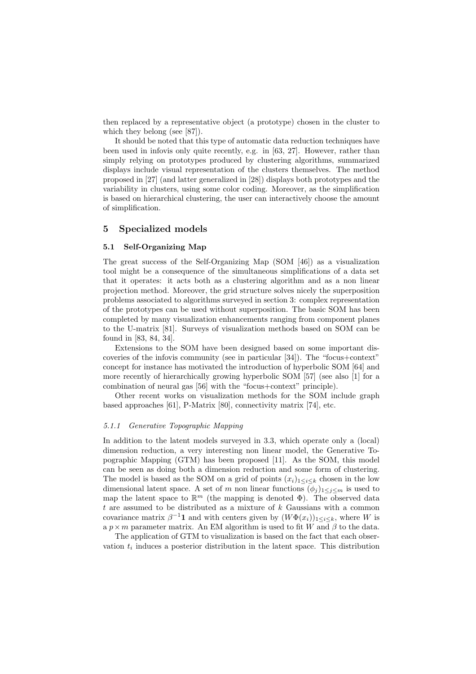then replaced by a representative object (a prototype) chosen in the cluster to which they belong (see [87]).

It should be noted that this type of automatic data reduction techniques have been used in infovis only quite recently, e.g. in [63, 27]. However, rather than simply relying on prototypes produced by clustering algorithms, summarized displays include visual representation of the clusters themselves. The method proposed in [27] (and latter generalized in [28]) displays both prototypes and the variability in clusters, using some color coding. Moreover, as the simplification is based on hierarchical clustering, the user can interactively choose the amount of simplification.

### 5 Specialized models

### 5.1 Self-Organizing Map

The great success of the Self-Organizing Map (SOM [46]) as a visualization tool might be a consequence of the simultaneous simplifications of a data set that it operates: it acts both as a clustering algorithm and as a non linear projection method. Moreover, the grid structure solves nicely the superposition problems associated to algorithms surveyed in section 3: complex representation of the prototypes can be used without superposition. The basic SOM has been completed by many visualization enhancements ranging from component planes to the U-matrix [81]. Surveys of visualization methods based on SOM can be found in [83, 84, 34].

Extensions to the SOM have been designed based on some important discoveries of the infovis community (see in particular [34]). The "focus+context" concept for instance has motivated the introduction of hyperbolic SOM [64] and more recently of hierarchically growing hyperbolic SOM [57] (see also [1] for a combination of neural gas [56] with the "focus+context" principle).

Other recent works on visualization methods for the SOM include graph based approaches [61], P-Matrix [80], connectivity matrix [74], etc.

### 5.1.1 Generative Topographic Mapping

In addition to the latent models surveyed in 3.3, which operate only a (local) dimension reduction, a very interesting non linear model, the Generative Topographic Mapping (GTM) has been proposed [11]. As the SOM, this model can be seen as doing both a dimension reduction and some form of clustering. The model is based as the SOM on a grid of points  $(x_i)_{1 \leq i \leq k}$  chosen in the low dimensional latent space. A set of m non linear functions  $(\phi_i)_{1 \leq i \leq m}$  is used to map the latent space to  $\mathbb{R}^m$  (the mapping is denoted  $\Phi$ ). The observed data t are assumed to be distributed as a mixture of k Gaussians with a common covariance matrix  $\beta^{-1}$ **1** and with centers given by  $(W\Phi(x_i))_{1\leq i\leq k}$ , where W is a  $p \times m$  parameter matrix. An EM algorithm is used to fit W and  $\beta$  to the data.

The application of GTM to visualization is based on the fact that each observation  $t_i$  induces a posterior distribution in the latent space. This distribution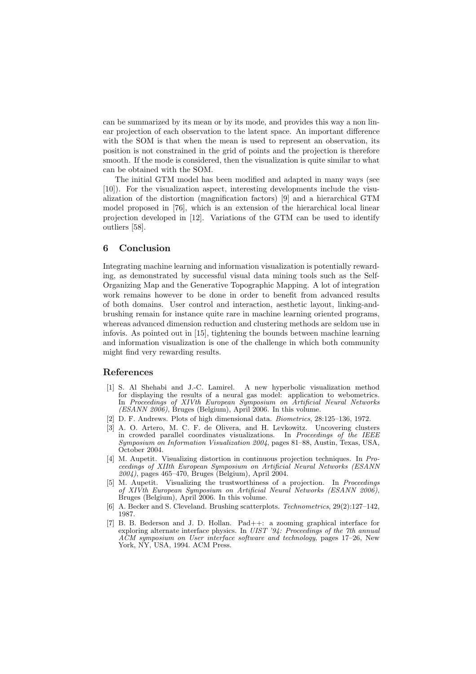can be summarized by its mean or by its mode, and provides this way a non linear projection of each observation to the latent space. An important difference with the SOM is that when the mean is used to represent an observation, its position is not constrained in the grid of points and the projection is therefore smooth. If the mode is considered, then the visualization is quite similar to what can be obtained with the SOM.

The initial GTM model has been modified and adapted in many ways (see [10]). For the visualization aspect, interesting developments include the visualization of the distortion (magnification factors) [9] and a hierarchical GTM model proposed in [76], which is an extension of the hierarchical local linear projection developed in [12]. Variations of the GTM can be used to identify outliers [58].

### 6 Conclusion

Integrating machine learning and information visualization is potentially rewarding, as demonstrated by successful visual data mining tools such as the Self-Organizing Map and the Generative Topographic Mapping. A lot of integration work remains however to be done in order to benefit from advanced results of both domains. User control and interaction, aesthetic layout, linking-andbrushing remain for instance quite rare in machine learning oriented programs, whereas advanced dimension reduction and clustering methods are seldom use in infovis. As pointed out in [15], tightening the bounds between machine learning and information visualization is one of the challenge in which both community might find very rewarding results.

### References

- [1] S. Al Shehabi and J.-C. Lamirel. A new hyperbolic visualization method for displaying the results of a neural gas model: application to webometrics. In Proceedings of XIVth European Symposium on Artificial Neural Networks  $(ESANN 2006)$ , Bruges (Belgium), April 2006. In this volume.
- [2] D. F. Andrews. Plots of high dimensional data. Biometrics, 28:125–136, 1972.
- [3] A. O. Artero, M. C. F. de Olivera, and H. Levkowitz. Uncovering clusters in crowded parallel coordinates visualizations. In Proceedings of the IEEE Symposium on Information Visualization 2004, pages 81–88, Austin, Texas, USA, October 2004.
- [4] M. Aupetit. Visualizing distortion in continuous projection techniques. In Proceedings of XIIth European Symposium on Artificial Neural Networks (ESANN  $2004$ , pages  $465-470$ , Bruges (Belgium), April 2004.
- [5] M. Aupetit. Visualizing the trustworthiness of a projection. In Proceedings of XIVth European Symposium on Artificial Neural Networks (ESANN 2006), Bruges (Belgium), April 2006. In this volume.
- [6] A. Becker and S. Cleveland. Brushing scatterplots. Technometrics, 29(2):127–142, 1987.
- [7] B. B. Bederson and J. D. Hollan. Pad++: a zooming graphical interface for exploring alternate interface physics. In UIST '94: Proceedings of the 7th annual ACM symposium on User interface software and technology, pages 17–26, New York, NY, USA, 1994. ACM Press.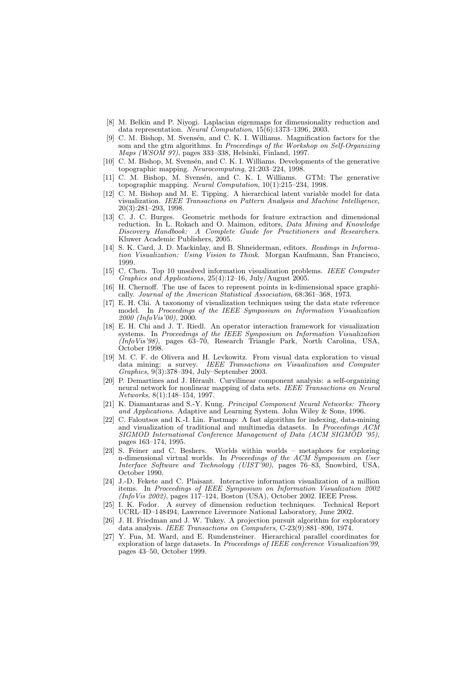- [8] M. Belkin and P. Niyogi. Laplacian eigenmaps for dimensionality reduction and data representation. Neural Computation,  $15(6)$ :1373-1396, 2003.
- [9] C. M. Bishop, M. Svensén, and C. K. I. Williams. Magnification factors for the som and the gtm algorithms. In Proceedings of the Workshop on Self-Organizing Maps (WSOM 97), pages 333–338, Helsinki, Finland, 1997.
- [10] C. M. Bishop, M. Svensén, and C. K. I. Williams. Developments of the generative topographic mapping. Neurocomputing, 21:203–224, 1998.
- [11] C. M. Bishop, M. Svensén, and C. K. I. Williams. GTM: The generative topographic mapping. Neural Computation, 10(1):215–234, 1998.
- [12] C. M. Bishop and M. E. Tipping. A hierarchical latent variable model for data visualization. IEEE Transactions on Pattern Analysis and Machine Intelligence, 20(3):281–293, 1998.
- [13] C. J. C. Burges. Geometric methods for feature extraction and dimensional reduction. In L. Rokach and O. Maimon, editors, Data Mining and Knowledge Discovery Handbook: A Complete Guide for Practitioners and Researchers. Kluwer Academic Publishers, 2005.
- [14] S. K. Card, J. D. Mackinlay, and B. Shneiderman, editors. Readings in Information Visualization: Using Vision to Think. Morgan Kaufmann, San Francisco, 1999.
- [15] C. Chen. Top 10 unsolved information visualization problems. IEEE Computer Graphics and Applications,  $25(4):12-16$ , July/August  $2005$ .
- [16] H. Chernoff. The use of faces to represent points in k-dimensional space graphically. Journal of the American Statistical Association, 68:361–368, 1973.
- [17] E. H. Chi. A taxonomy of visualization techniques using the data state reference model. In Proceedings of the IEEE Symposium on Information Visualization 2000 (InfoVis'00), 2000.
- [18] E. H. Chi and J. T. Riedl. An operator interaction framework for visualization systems. In Proceedings of the IEEE Symposium on Information Visualization  $(InfoVis'98)$ , pages  $63-70$ , Research Triangle Park, North Carolina, USA, October 1998.
- [19] M. C. F. de Olivera and H. Levkowitz. From visual data exploration to visual data mining: a survey. IEEE Transactions on Visualization and Computer Graphics, 9(3):378–394, July–September 2003.
- [20] P. Demartines and J. Hérault. Curvilinear component analysis: a self-organizing neural network for nonlinear mapping of data sets. IEEE Transactions on Neural Networks, 8(1):148–154, 1997.
- [21] K. Diamantaras and S.-Y. Kung. Principal Component Neural Networks: Theory and Applications. Adaptive and Learning System. John Wiley & Sons, 1996.
- [22] C. Faloutsos and K.-I. Lin. Fastmap: A fast algorithm for indexing, data-mining and visualization of traditional and multimedia datasets. In Proceedings ACM SIGMOD International Conference Management of Data (ACM SIGMOD '95), pages 163–174, 1995.
- [23] S. Feiner and C. Beshers. Worlds within worlds metaphors for exploring n-dimensional virtual worlds. In Proceedings of the ACM Symposium on User Interface Software and Technology (UIST'90), pages  $76-83$ , Snowbird, USA, October 1990.
- [24] J.-D. Fekete and C. Plaisant. Interactive information visualization of a million items. In Proceedings of IEEE Symposium on Information Visualization 2002  $(InfoVis 2002)$ , pages 117–124, Boston (USA), October 2002. IEEE Press.
- [25] I. K. Fodor. A survey of dimension reduction techniques. Technical Report UCRL–ID–148494, Lawrence Livermore National Laboratory, June 2002.
- [26] J. H. Friedman and J. W. Tukey. A projection pursuit algorithm for exploratory data analysis. IEEE Transactions on Computers, C-23(9):881–890, 1974.
- [27] Y. Fua, M. Ward, and E. Rundensteiner. Hierarchical parallel coordinates for exploration of large datasets. In Proceedings of IEEE conference Visualization'99, pages 43–50, October 1999.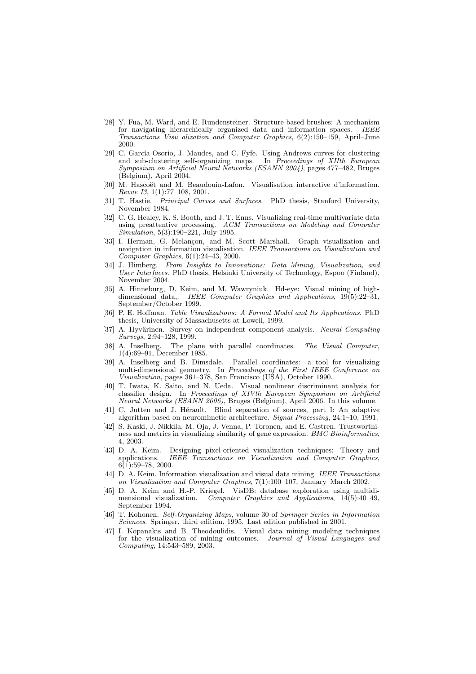- [28] Y. Fua, M. Ward, and E. Rundensteiner. Structure-based brushes: A mechanism for navigating hierarchically organized data and information spaces. IEEE Transactions Visu alization and Computer Graphics, 6(2):150–159, April–June 2000.
- [29] C. García-Osorio, J. Maudes, and C. Fyfe. Using Andrews curves for clustering and sub-clustering self-organizing maps. In Proceedings of XIIth European Symposium on Artificial Neural Networks (ESANN 2004), pages 477–482, Bruges (Belgium), April 2004.
- [30] M. Hascoët and M. Beaudouin-Lafon. Visualisation interactive d'information. Revue I3, 1(1):77–108, 2001.
- [31] T. Hastie. Principal Curves and Surfaces. PhD thesis, Stanford University, November 1984.
- [32] C. G. Healey, K. S. Booth, and J. T. Enns. Visualizing real-time multivariate data using preattentive processing. ACM Transactions on Modeling and Computer Simulation, 5(3):190–221, July 1995.
- [33] I. Herman, G. Melançon, and M. Scott Marshall. Graph visualization and navigation in information visualisation. IEEE Transactions on Visualization and Computer Graphics, 6(1):24–43, 2000.
- [34] J. Himberg. From Insights to Innovations: Data Mining, Visualization, and User Interfaces. PhD thesis, Helsinki University of Technology, Espoo (Finland), November 2004.
- [35] A. Hinneburg, D. Keim, and M. Wawryniuk. Hd-eye: Visual mining of highdimensional data,. IEEE Computer Graphics and Applications, 19(5):22–31, September/October 1999.
- [36] P. E. Hoffman. Table Visualizations: A Formal Model and Its Applications. PhD thesis, University of Massachusetts at Lowell, 1999.
- [37] A. Hyvärinen. Survey on independent component analysis. Neural Computing Surveys, 2:94–128, 1999.
- [38] A. Inselberg. The plane with parallel coordinates. The Visual Computer, 1(4):69–91, December 1985.
- [39] A. Inselberg and B. Dimsdale. Parallel coordinates: a tool for visualizing multi-dimensional geometry. In Proceedings of the First IEEE Conference on Visualization, pages 361–378, San Francisco (USA), October 1990.
- [40] T. Iwata, K. Saito, and N. Ueda. Visual nonlinear discriminant analysis for classifier design. In Proceedings of XIVth European Symposium on Artificial Neural Networks (ESANN 2006), Bruges (Belgium), April 2006. In this volume.
- [41] C. Jutten and J. Hérault. Blind separation of sources, part I: An adaptive algorithm based on neuromimetic architecture. Signal Processing, 24:1–10, 1991.
- [42] S. Kaski, J. Nikkila, M. Oja, J. Venna, P. Toronen, and E. Castren. Trustworthiness and metrics in visualizing similarity of gene expression. BMC Bioinformatics, 4, 2003.<br>[43] D. A. Keim.
- D. A. Keim. Designing pixel-oriented visualization techniques: Theory and applications. IEEE Transactions on Visualization and Computer Graphics, IEEE Transactions on Visualization and Computer Graphics,  $6(1):59-78, 2000.$
- [44] D. A. Keim. Information visualization and visual data mining. IEEE Transactions on Visualization and Computer Graphics, 7(1):100–107, January–March 2002.
- [45] D. A. Keim and H.-P. Kriegel. VisDB: database exploration using multidimensional visualization. Computer Graphics and Applications,  $14(5):40-49$ , September 1994.
- [46] T. Kohonen. Self-Organizing Maps, volume 30 of Springer Series in Information Sciences. Springer, third edition, 1995. Last edition published in 2001.
- [47] I. Kopanakis and B. Theodoulidis. Visual data mining modeling techniques for the visualization of mining outcomes. Journal of Visual Languages and Computing, 14:543–589, 2003.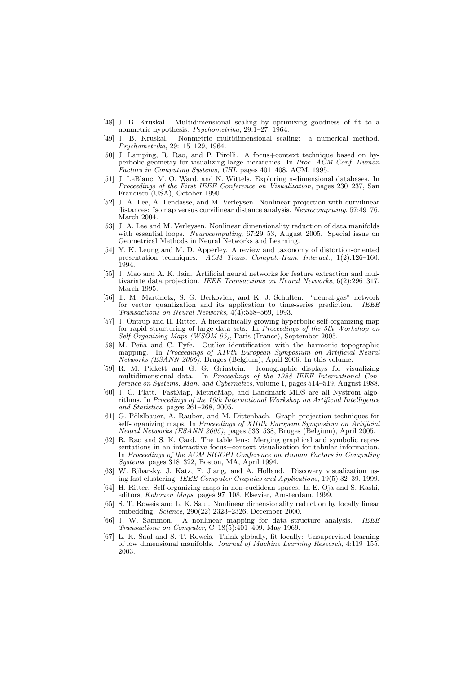- [48] J. B. Kruskal. Multidimensional scaling by optimizing goodness of fit to a nonmetric hypothesis. Psychometrika, 29:1-27, 1964.
- [49] J. B. Kruskal. Nonmetric multidimensional scaling: a numerical method. Psychometrika, 29:115–129, 1964.
- [50] J. Lamping, R. Rao, and P. Pirolli. A focus+context technique based on hyperbolic geometry for visualizing large hierarchies. In Proc. ACM Conf. Human Factors in Computing Systems, CHI, pages 401–408. ACM, 1995.
- [51] J. LeBlanc, M. O. Ward, and N. Wittels. Exploring n-dimensional databases. In Proceedings of the First IEEE Conference on Visualization, pages 230–237, San Francisco (USA), October 1990.
- [52] J. A. Lee, A. Lendasse, and M. Verleysen. Nonlinear projection with curvilinear distances: Isomap versus curvilinear distance analysis. Neurocomputing, 57:49–76, March 2004.
- [53] J. A. Lee and M. Verleysen. Nonlinear dimensionality reduction of data manifolds with essential loops. Neurocomputing,  $67:29-53$ , August 2005. Special issue on Geometrical Methods in Neural Networks and Learning.
- [54] Y. K. Leung and M. D. Apperley. A review and taxonomy of distortion-oriented presentation techniques. ACM Trans. Comput.-Hum. Interact., 1(2):126-160, 1994.
- [55] J. Mao and A. K. Jain. Artificial neural networks for feature extraction and multivariate data projection. IEEE Transactions on Neural Networks, 6(2):296–317, March 1995.
- [56] T. M. Martinetz, S. G. Berkovich, and K. J. Schulten. "neural-gas" network for vector quantization and its application to time-series prediction. IEEE Transactions on Neural Networks,  $\hat{4}(4)$ :558–569, 1993.
- [57] J. Ontrup and H. Ritter. A hierarchically growing hyperbolic self-organizing map for rapid structuring of large data sets. In Proceedings of the 5th Workshop on Self-Organizing Maps (WSOM 05), Paris (France), September 2005.
- [58] M. Peña and C. Fyfe. Outlier identification with the harmonic topographic mapping. In Proceedings of XIVth European Symposium on Artificial Neural Networks (ESANN 2006), Bruges (Belgium), April 2006. In this volume.
- [59] R. M. Pickett and G. G. Grinstein. Iconographic displays for visualizing multidimensional data. In Proceedings of the 1988 IEEE International Conference on Systems, Man, and Cybernetics, volume 1, pages 514–519, August 1988.
- [60] J. C. Platt. FastMap, MetricMap, and Landmark MDS are all Nyström algorithms. In Procedings of the 10th International Workshop on Artificial Intelligence and Statistics, pages 261–268, 2005.
- [61] G. Pölzlbauer, A. Rauber, and M. Dittenbach. Graph projection techniques for self-organizing maps. In Proceedings of XIIIth European Symposium on Artificial Neural Networks (ESANN 2005), pages 533–538, Bruges (Belgium), April 2005.
- [62] R. Rao and S. K. Card. The table lens: Merging graphical and symbolic representations in an interactive focus+context visualization for tabular information. In Proceedings of the ACM SIGCHI Conference on Human Factors in Computing Systems, pages 318–322, Boston, MA, April 1994.
- [63] W. Ribarsky, J. Katz, F. Jiang, and A. Holland. Discovery visualization using fast clustering. IEEE Computer Graphics and Applications, 19(5):32–39, 1999.
- [64] H. Ritter. Self-organizing maps in non-euclidean spaces. In E. Oja and S. Kaski, editors, Kohonen Maps, pages 97–108. Elsevier, Amsterdam, 1999.
- [65] S. T. Roweis and L. K. Saul. Nonlinear dimensionality reduction by locally linear embedding. Science, 290(22):2323–2326, December 2000.
- [66] J. W. Sammon. A nonlinear mapping for data structure analysis. IEEE Transactions on Computer,  $C-18(5):401-409$ , May 1969.
- [67] L. K. Saul and S. T. Roweis. Think globally, fit locally: Unsupervised learning of low dimensional manifolds. Journal of Machine Learning Research, 4:119–155, 2003.